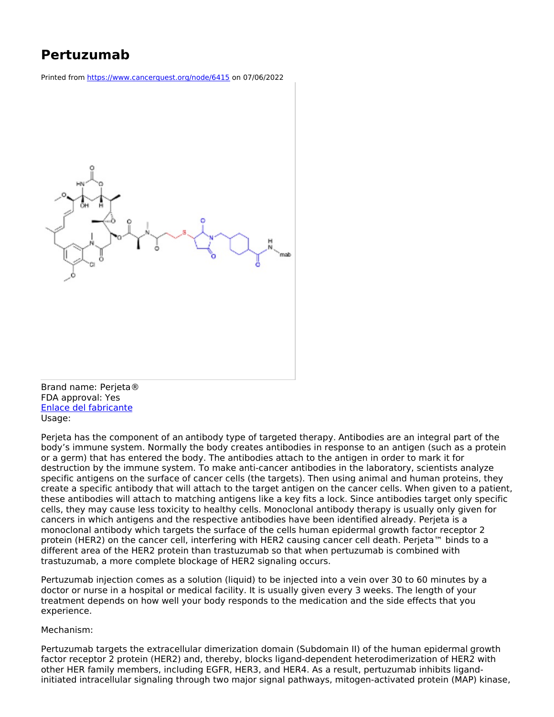## **Pertuzumab**

Printed from <https://www.cancerquest.org/node/6415> on 07/06/2022



FDA approval: Yes Enlace del [fabricante](https://www.gene.com/patients/medicines/perjeta) Usage:

Perjeta has the component of an antibody type of targeted therapy. Antibodies are an integral part of the body's immune system. Normally the body creates antibodies in response to an antigen (such as a protein or a germ) that has entered the body. The antibodies attach to the antigen in order to mark it for destruction by the immune system. To make anti-cancer antibodies in the laboratory, scientists analyze specific antigens on the surface of cancer cells (the targets). Then using animal and human proteins, they create a specific antibody that will attach to the target antigen on the cancer cells. When given to a patient, these antibodies will attach to matching antigens like a key fits a lock. Since antibodies target only specific cells, they may cause less toxicity to healthy cells. Monoclonal antibody therapy is usually only given for cancers in which antigens and the respective antibodies have been identified already. Perjeta is a monoclonal antibody which targets the surface of the cells human epidermal growth factor receptor 2 protein (HER2) on the cancer cell, interfering with HER2 causing cancer cell death. Perjeta™ binds to a different area of the HER2 protein than trastuzumab so that when pertuzumab is combined with trastuzumab, a more complete blockage of HER2 signaling occurs.

Pertuzumab injection comes as a solution (liquid) to be injected into a vein over 30 to 60 minutes by a doctor or nurse in a hospital or medical facility. It is usually given every 3 weeks. The length of your treatment depends on how well your body responds to the medication and the side effects that you experience.

## Mechanism:

Pertuzumab targets the extracellular dimerization domain (Subdomain II) of the human epidermal growth factor receptor 2 protein (HER2) and, thereby, blocks ligand-dependent heterodimerization of HER2 with other HER family members, including EGFR, HER3, and HER4. As a result, pertuzumab inhibits ligandinitiated intracellular signaling through two major signal pathways, mitogen-activated protein (MAP) kinase,